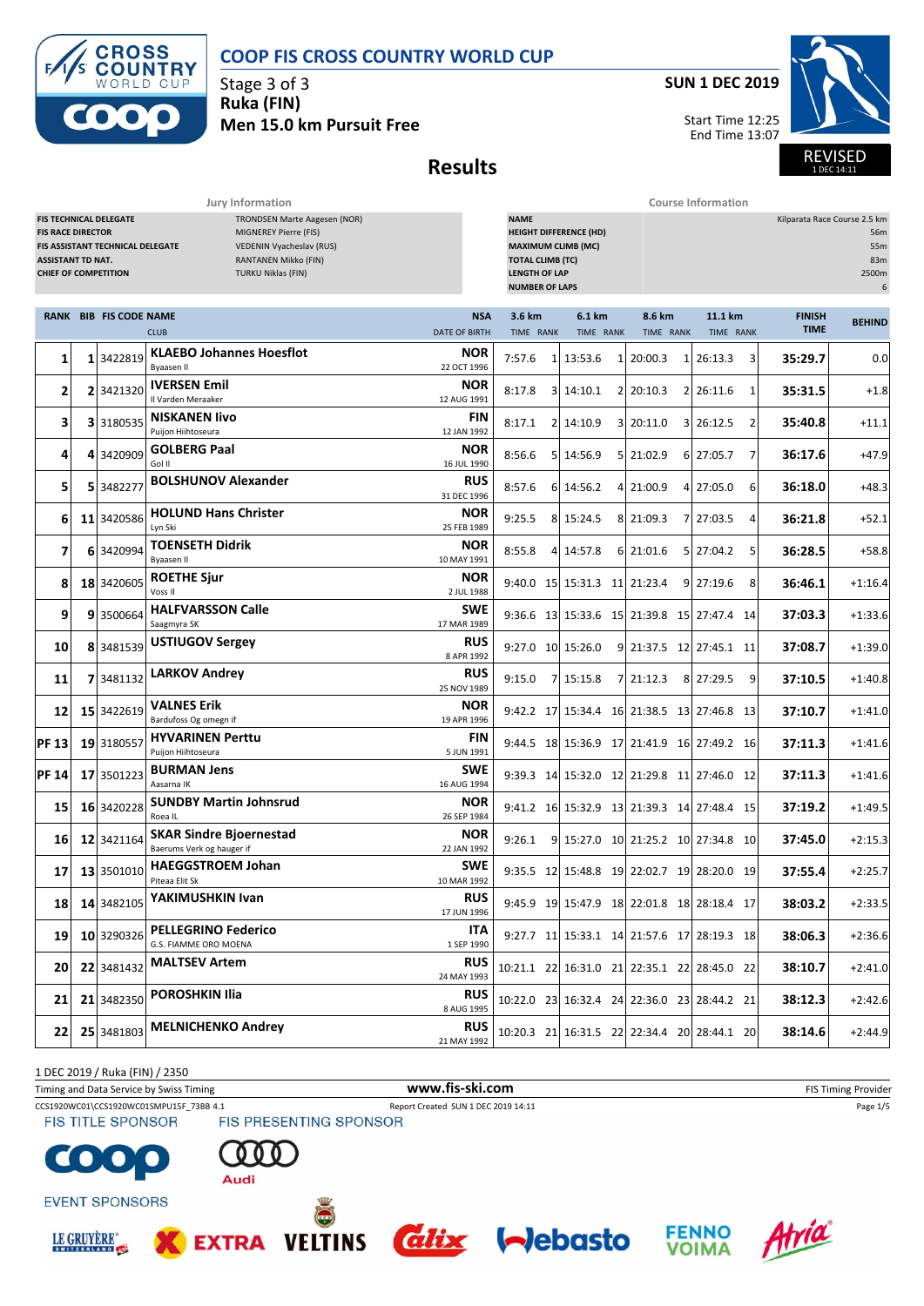

Stage 3 of 3 **Ruka (FIN) Men 15.0 km Pursuit Free** **SUN 1 DEC 2019**

Start Time 12:25 End Time 13:07



**Results**

**Jury Information Course Information**

| <b>FIS TECHNICAL DELEGATE</b><br>TRONDSEN Marte Aagesen (NOR)<br><b>FIS RACE DIRECTOR</b><br>MIGNEREY Pierre (FIS)<br>FIS ASSISTANT TECHNICAL DELEGATE<br>VEDENIN Vyacheslav (RUS)<br><b>RANTANEN Mikko (FIN)</b><br><b>ASSISTANT TD NAT.</b><br><b>CHIEF OF COMPETITION</b><br><b>TURKU Niklas (FIN)</b> |  |                               |                                                             |                                    |                     |  | <b>NAME</b><br>Kilparata Race Course 2.5 km<br><b>HEIGHT DIFFERENCE (HD)</b><br>56m<br><b>MAXIMUM CLIMB (MC)</b><br>55m<br><b>TOTAL CLIMB (TC)</b><br>83m<br><b>LENGTH OF LAP</b><br>2500m<br><b>NUMBER OF LAPS</b><br>6 |  |                     |                |                         |   |                              |               |  |
|-----------------------------------------------------------------------------------------------------------------------------------------------------------------------------------------------------------------------------------------------------------------------------------------------------------|--|-------------------------------|-------------------------------------------------------------|------------------------------------|---------------------|--|--------------------------------------------------------------------------------------------------------------------------------------------------------------------------------------------------------------------------|--|---------------------|----------------|-------------------------|---|------------------------------|---------------|--|
|                                                                                                                                                                                                                                                                                                           |  | <b>RANK BIB FIS CODE NAME</b> | <b>CLUB</b>                                                 | <b>NSA</b><br><b>DATE OF BIRTH</b> | 3.6 km<br>TIME RANK |  | 6.1 km<br>TIME RANK                                                                                                                                                                                                      |  | 8.6 km<br>TIME RANK |                | 11.1 km<br>TIME RANK    |   | <b>FINISH</b><br><b>TIME</b> | <b>BEHIND</b> |  |
| 1                                                                                                                                                                                                                                                                                                         |  | 1 3422819                     | <b>KLAEBO Johannes Hoesflot</b><br>Byaasen Il               | <b>NOR</b><br>22 OCT 1996          | 7:57.6              |  | 1 13:53.6                                                                                                                                                                                                                |  | 1 20:00.3           | $\mathbf{1}$   | 26:13.3                 | 3 | 35:29.7                      | 0.0           |  |
| 2                                                                                                                                                                                                                                                                                                         |  | 2 3421320                     | <b>IVERSEN Emil</b><br>Il Varden Meraaker                   | <b>NOR</b><br>12 AUG 1991          | 8:17.8              |  | 3 14:10.1                                                                                                                                                                                                                |  | 2 20:10.3           | $\overline{2}$ | 26:11.6                 | 1 | 35:31.5                      | $+1.8$        |  |
| 3                                                                                                                                                                                                                                                                                                         |  | 3 3180535                     | <b>NISKANEN livo</b><br>Puijon Hiihtoseura                  | <b>FIN</b><br>12 JAN 1992          | 8:17.1              |  | 2 14:10.9                                                                                                                                                                                                                |  | 3 20:11.0           | 3              | 26:12.5                 | 2 | 35:40.8                      | $+11.1$       |  |
| 4                                                                                                                                                                                                                                                                                                         |  | 4 3420909                     | <b>GOLBERG Paal</b><br>Gol II                               | <b>NOR</b><br>16 JUL 1990          | 8:56.6              |  | 5 14:56.9                                                                                                                                                                                                                |  | 5 21:02.9           | 6              | 27:05.7                 | 7 | 36:17.6                      | $+47.9$       |  |
| 5                                                                                                                                                                                                                                                                                                         |  | 5 3482277                     | <b>BOLSHUNOV Alexander</b>                                  | <b>RUS</b><br>31 DEC 1996          | 8:57.6              |  | 6 14:56.2                                                                                                                                                                                                                |  | 4 21:00.9           |                | 4 27:05.0               | 6 | 36:18.0                      | $+48.3$       |  |
| 6                                                                                                                                                                                                                                                                                                         |  | 11 3420586                    | <b>HOLUND Hans Christer</b><br>Lyn Ski                      | <b>NOR</b><br>25 FEB 1989          | 9:25.5              |  | 8 15:24.5                                                                                                                                                                                                                |  | 8 21:09.3           | 7              | 27:03.5                 | 4 | 36:21.8                      | $+52.1$       |  |
| 7                                                                                                                                                                                                                                                                                                         |  | 6 3420994                     | <b>TOENSETH Didrik</b><br><b>Byaasen II</b>                 | <b>NOR</b><br>10 MAY 1991          | 8:55.8              |  | 4 14:57.8                                                                                                                                                                                                                |  | 6 21:01.6           |                | 5 27:04.2               | 5 | 36:28.5                      | $+58.8$       |  |
| 8                                                                                                                                                                                                                                                                                                         |  | 18 3420605                    | <b>ROETHE Sjur</b><br>Voss II                               | NOR<br>2 JUL 1988                  |                     |  | 9:40.0 15 15:31.3 11 21:23.4                                                                                                                                                                                             |  |                     | 9              | 27:19.6                 | 8 | 36:46.1                      | $+1:16.4$     |  |
| 9                                                                                                                                                                                                                                                                                                         |  | 9 3500664                     | <b>HALFVARSSON Calle</b><br>Saagmyra SK                     | <b>SWE</b><br>17 MAR 1989          |                     |  | 9:36.6 13 15:33.6 15 21:39.8 15 27:47.4 14                                                                                                                                                                               |  |                     |                |                         |   | 37:03.3                      | $+1:33.6$     |  |
| 10                                                                                                                                                                                                                                                                                                        |  | 8 3481539                     | <b>USTIUGOV Sergey</b>                                      | <b>RUS</b><br>8 APR 1992           |                     |  | $9:27.0$ 10 15:26.0                                                                                                                                                                                                      |  |                     |                | 9 21:37.5 12 27:45.1 11 |   | 37:08.7                      | $+1:39.0$     |  |
| 11                                                                                                                                                                                                                                                                                                        |  | 7 3481132                     | <b>LARKOV Andrey</b>                                        | <b>RUS</b><br>25 NOV 1989          | 9:15.0              |  | 7 15:15.8                                                                                                                                                                                                                |  | 7 21:12.3           |                | 8 27:29.5               | 9 | 37:10.5                      | $+1:40.8$     |  |
| 12                                                                                                                                                                                                                                                                                                        |  | 15 3422619                    | <b>VALNES Erik</b><br>Bardufoss Og omegn if                 | <b>NOR</b><br>19 APR 1996          |                     |  | 9:42.2 17 15:34.4 16 21:38.5 13 27:46.8 13                                                                                                                                                                               |  |                     |                |                         |   | 37:10.7                      | $+1:41.0$     |  |
| <b>PF 13</b>                                                                                                                                                                                                                                                                                              |  | 19 3180557                    | <b>HYVARINEN Perttu</b><br>Puijon Hiihtoseura               | <b>FIN</b><br>5 JUN 1991           |                     |  | 9:44.5 18 15:36.9 17 21:41.9 16 27:49.2 16                                                                                                                                                                               |  |                     |                |                         |   | 37:11.3                      | $+1:41.6$     |  |
| PF 14                                                                                                                                                                                                                                                                                                     |  | 17 3501223                    | <b>BURMAN Jens</b><br>Aasarna IK                            | <b>SWE</b><br>16 AUG 1994          |                     |  | 9:39.3 14 15:32.0 12 21:29.8 11 27:46.0 12                                                                                                                                                                               |  |                     |                |                         |   | 37:11.3                      | $+1:41.6$     |  |
| 15                                                                                                                                                                                                                                                                                                        |  | 16 3420228                    | <b>SUNDBY Martin Johnsrud</b><br>Roea IL                    | <b>NOR</b><br>26 SEP 1984          |                     |  | 9:41.2 16 15:32.9 13 21:39.3 14 27:48.4 15                                                                                                                                                                               |  |                     |                |                         |   | 37:19.2                      | $+1:49.5$     |  |
| 16                                                                                                                                                                                                                                                                                                        |  | 12 3421164                    | <b>SKAR Sindre Bjoernestad</b><br>Baerums Verk og hauger if | <b>NOR</b><br>22 JAN 1992          | 9:26.1              |  | 9 15:27.0 10 21:25.2 10 27:34.8 10                                                                                                                                                                                       |  |                     |                |                         |   | 37:45.0                      | $+2:15.3$     |  |
| 17                                                                                                                                                                                                                                                                                                        |  | 13 3501010                    | <b>HAEGGSTROEM Johan</b><br>Piteaa Elit Sk                  | SWE<br>10 MAR 1992                 |                     |  | 9:35.5 12 15:48.8 19 22:02.7 19 28:20.0 19                                                                                                                                                                               |  |                     |                |                         |   | 37:55.4                      | $+2:25.7$     |  |
| 18                                                                                                                                                                                                                                                                                                        |  | 14 3482105                    | YAKIMUSHKIN Ivan                                            | <b>RUS</b><br>17 JUN 1996          |                     |  | 9:45.9 19 15:47.9 18 22:01.8 18 28:18.4 17                                                                                                                                                                               |  |                     |                |                         |   | 38:03.2                      | $+2:33.5$     |  |
| 19                                                                                                                                                                                                                                                                                                        |  | 10 3290326                    | <b>PELLEGRINO Federico</b><br>G.S. FIAMME ORO MOENA         | <b>ITA</b><br>1 SEP 1990           |                     |  | 9:27.7 11 15:33.1 14 21:57.6 17 28:19.3 18                                                                                                                                                                               |  |                     |                |                         |   | 38:06.3                      | $+2:36.6$     |  |
| 20                                                                                                                                                                                                                                                                                                        |  | 22 3481432                    | <b>MALTSEV Artem</b>                                        | <b>RUS</b><br>24 MAY 1993          |                     |  | 10:21.1 22 16:31.0 21 22:35.1 22 28:45.0 22                                                                                                                                                                              |  |                     |                |                         |   | 38:10.7                      | $+2:41.0$     |  |
| 21                                                                                                                                                                                                                                                                                                        |  | 21 3482350                    | <b>POROSHKIN Ilia</b>                                       | <b>RUS</b><br>8 AUG 1995           |                     |  | 10:22.0 23 16:32.4 24 22:36.0 23 28:44.2 21                                                                                                                                                                              |  |                     |                |                         |   | 38:12.3                      | $+2:42.6$     |  |
| 22                                                                                                                                                                                                                                                                                                        |  | 25 3481803                    | <b>MELNICHENKO Andrey</b>                                   | <b>RUS</b><br>21 MAY 1992          |                     |  | 10:20.3 21 16:31.5 22 22:34.4 20 28:44.1 20                                                                                                                                                                              |  |                     |                |                         |   | 38:14.6                      | $+2:44.9$     |  |

1 DEC 2019 / Ruka (FIN) / 2350

Timing and Data Service by Swiss Timing **WWW.fis-Ski.com WWW.fis-Ski.com** FIS Timing Provider

CCS1920WC01\CCS1920WC01SMPU15F\_73BB 4.1 Report Created SUN 1 DEC 2019 14:11 Page 1/5<br>
FIS TITLE SPONSOR FIS PRESENTING SPONSOR

**FIS TITLE SPONSOR** 





**EXTRA** 

**VELTINS** 

**EVENT SPONSORS** 







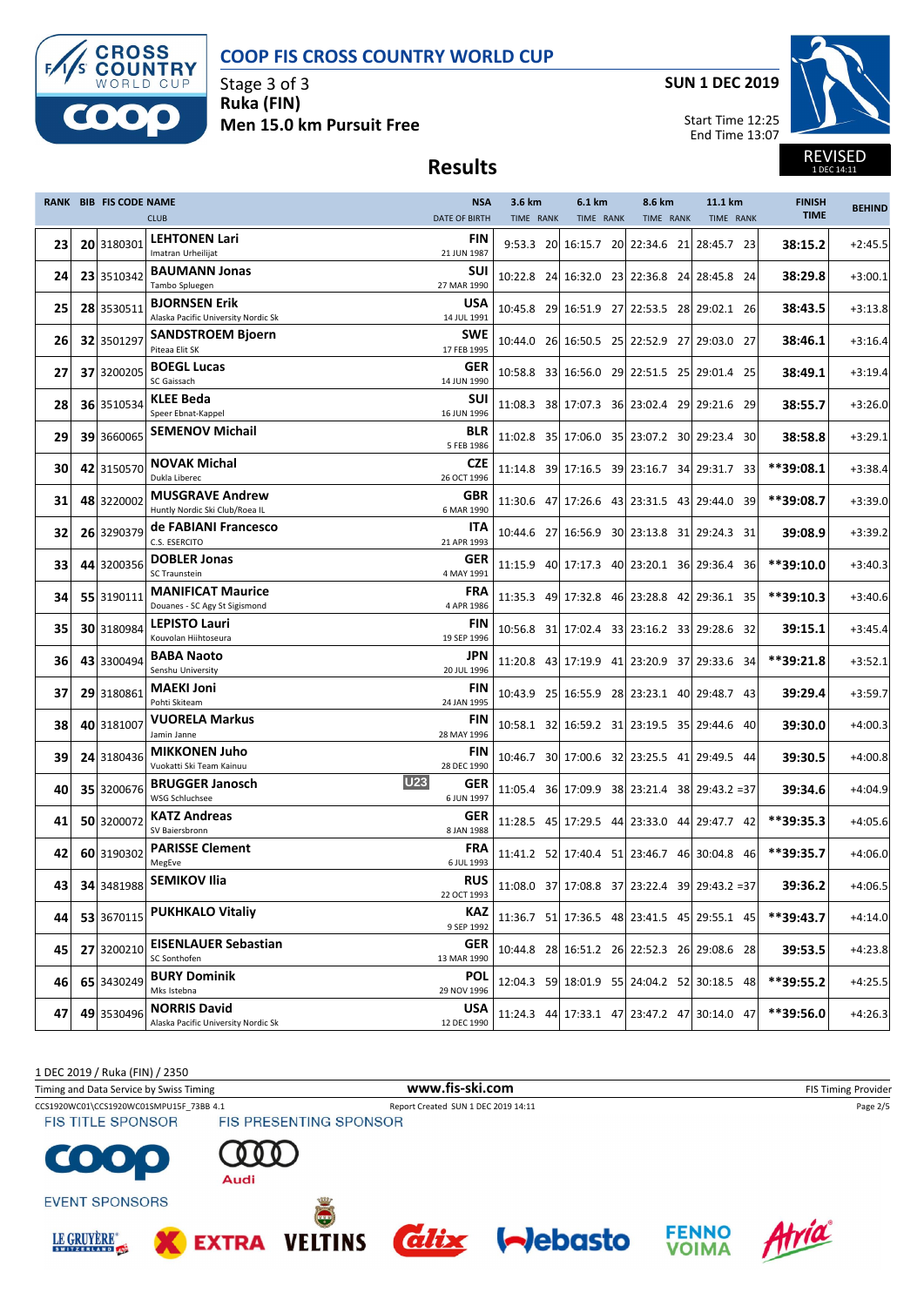

Stage 3 of 3 **Ruka (FIN) Men 15.0 km Pursuit Free** **SUN 1 DEC 2019**



REVISED 1 DEC 14:11

### **Results**

|      | <b>RANK BIB FIS CODE NAME</b> |            |                                                             | <b>NSA</b>                      | 3.6 km    | 6.1 km                                        | 8.6 km    | 11.1 km   | <b>FINISH</b> | <b>BEHIND</b> |
|------|-------------------------------|------------|-------------------------------------------------------------|---------------------------------|-----------|-----------------------------------------------|-----------|-----------|---------------|---------------|
|      |                               |            | <b>CLUB</b>                                                 | <b>DATE OF BIRTH</b>            | TIME RANK | TIME RANK                                     | TIME RANK | TIME RANK | <b>TIME</b>   |               |
| 23   |                               | 20 3180301 | <b>LEHTONEN Lari</b><br>Imatran Urheilijat                  | <b>FIN</b><br>21 JUN 1987       |           | 9:53.3 20 16:15.7 20 22:34.6 21 28:45.7 23    |           |           | 38:15.2       | $+2:45.5$     |
| 24   |                               | 23 3510342 | <b>BAUMANN Jonas</b><br>Tambo Spluegen                      | <b>SUI</b><br>27 MAR 1990       |           | 10:22.8 24 16:32.0 23 22:36.8 24 28:45.8 24   |           |           | 38:29.8       | $+3:00.1$     |
| 25   |                               | 28 3530511 | <b>BJORNSEN Erik</b><br>Alaska Pacific University Nordic Sk | USA<br>14 JUL 1991              |           | 10:45.8 29 16:51.9 27 22:53.5 28 29:02.1 26   |           |           | 38:43.5       | $+3:13.8$     |
| 26   |                               | 32 3501297 | <b>SANDSTROEM Bjoern</b><br>Piteaa Elit SK                  | <b>SWE</b><br>17 FEB 1995       |           | 10:44.0 26 16:50.5 25 22:52.9 27 29:03.0 27   |           |           | 38:46.1       | $+3:16.4$     |
| 27   |                               | 37 3200205 | <b>BOEGL Lucas</b><br>SC Gaissach                           | <b>GER</b><br>14 JUN 1990       |           | 10:58.8 33 16:56.0 29 22:51.5 25 29:01.4 25   |           |           | 38:49.1       | $+3:19.4$     |
| 28   |                               | 36 3510534 | <b>KLEE Beda</b><br>Speer Ebnat-Kappel                      | <b>SUI</b><br>16 JUN 1996       |           | 11:08.3 38 17:07.3 36 23:02.4 29 29:21.6 29   |           |           | 38:55.7       | $+3:26.0$     |
| 29   |                               | 39 3660065 | <b>SEMENOV Michail</b>                                      | <b>BLR</b><br>5 FEB 1986        |           | 11:02.8 35 17:06.0 35 23:07.2 30 29:23.4 30   |           |           | 38:58.8       | $+3:29.1$     |
| 30   |                               | 42 3150570 | <b>NOVAK Michal</b><br>Dukla Liberec                        | <b>CZE</b><br>26 OCT 1996       |           | 11:14.8 39 17:16.5 39 23:16.7 34 29:31.7 33   |           |           | **39:08.1     | $+3:38.4$     |
| 31   |                               | 48 3220002 | <b>MUSGRAVE Andrew</b><br>Huntly Nordic Ski Club/Roea IL    | GBR<br>6 MAR 1990               |           | 11:30.6 47 17:26.6 43 23:31.5 43 29:44.0 39   |           |           | **39:08.7     | $+3:39.0$     |
| 32   |                               | 26 3290379 | de FABIANI Francesco<br>C.S. ESERCITO                       | ITA<br>21 APR 1993              |           | 10:44.6 27 16:56.9 30 23:13.8 31 29:24.3 31   |           |           | 39:08.9       | $+3:39.2$     |
| 33   |                               | 44 3200356 | <b>DOBLER Jonas</b><br>SC Traunstein                        | GER<br>4 MAY 1991               |           | 11:15.9 40 17:17.3 40 23:20.1 36 29:36.4 36   |           |           | $***39:10.0$  | $+3:40.3$     |
| 34   |                               | 55 3190111 | <b>MANIFICAT Maurice</b><br>Douanes - SC Agy St Sigismond   | <b>FRA</b><br>4 APR 1986        |           | 11:35.3 49 17:32.8 46 23:28.8 42 29:36.1 35   |           |           | **39:10.3     | $+3:40.6$     |
| 35   |                               | 30 3180984 | <b>LEPISTO Lauri</b><br>Kouvolan Hiihtoseura                | FIN<br>19 SEP 1996              |           | 10:56.8 31 17:02.4 33 23:16.2 33 29:28.6 32   |           |           | 39:15.1       | $+3:45.4$     |
| 36   |                               | 43 3300494 | <b>BABA Naoto</b><br>Senshu University                      | JPN<br>20 JUL 1996              |           | 11:20.8 43 17:19.9 41 23:20.9 37 29:33.6 34   |           |           | **39:21.8     | $+3:52.1$     |
| 37   |                               | 29 3180861 | <b>MAEKI Joni</b><br>Pohti Skiteam                          | <b>FIN</b><br>24 JAN 1995       |           | 10:43.9 25 16:55.9 28 23:23.1 40 29:48.7 43   |           |           | 39:29.4       | $+3:59.7$     |
| 38   |                               | 40 3181007 | <b>VUORELA Markus</b><br>Jamin Janne                        | FIN<br>28 MAY 1996              |           | 10:58.1 32 16:59.2 31 23:19.5 35 29:44.6 40   |           |           | 39:30.0       | $+4:00.3$     |
| 39   |                               | 24 3180436 | <b>MIKKONEN Juho</b><br>Vuokatti Ski Team Kainuu            | <b>FIN</b><br>28 DEC 1990       |           | 10:46.7 30 17:00.6 32 23:25.5 41 29:49.5 44   |           |           | 39:30.5       | $+4:00.8$     |
| 40   |                               | 35 3200676 | <b>BRUGGER Janosch</b><br><b>WSG Schluchsee</b>             | <b>U23</b><br>GER<br>6 JUN 1997 |           | 11:05.4 36 17:09.9 38 23:21.4 38 29:43.2 = 37 |           |           | 39:34.6       | $+4:04.9$     |
| 41   |                               | 50 3200072 | <b>KATZ Andreas</b><br>SV Baiersbronn                       | <b>GER</b><br>8 JAN 1988        |           | 11:28.5 45 17:29.5 44 23:33.0 44 29:47.7 42   |           |           | **39:35.3     | $+4:05.6$     |
| 42   |                               | 60 3190302 | <b>PARISSE Clement</b><br>MegEve                            | <b>FRA</b><br>6 JUL 1993        |           | 11:41.2 52 17:40.4 51 23:46.7 46 30:04.8 46   |           |           | **39:35.7     | $+4:06.0$     |
| 43 l |                               | 34 3481988 | <b>SEMIKOV Ilia</b>                                         | <b>RUS</b><br>22 OCT 1993       |           | 11:08.0 37 17:08.8 37 23:22.4 39 29:43.2 = 37 |           |           | 39:36.2       | $+4:06.5$     |
| 44   |                               | 53 3670115 | <b>PUKHKALO Vitaliy</b>                                     | KAZ<br>9 SEP 1992               |           | 11:36.7 51 17:36.5 48 23:41.5 45 29:55.1 45   |           |           | **39:43.7     | $+4:14.0$     |
| 45   |                               | 27 3200210 | <b>EISENLAUER Sebastian</b><br>SC Sonthofen                 | GER<br>13 MAR 1990              |           | 10:44.8 28 16:51.2 26 22:52.3 26 29:08.6 28   |           |           | 39:53.5       | $+4:23.8$     |
| 46   |                               | 65 3430249 | <b>BURY Dominik</b><br>Mks Istebna                          | <b>POL</b><br>29 NOV 1996       |           | 12:04.3 59 18:01.9 55 24:04.2 52 30:18.5 48   |           |           | **39:55.2     | $+4:25.5$     |
| 47   |                               | 49 3530496 | <b>NORRIS David</b><br>Alaska Pacific University Nordic Sk  | <b>USA</b><br>12 DEC 1990       |           | 11:24.3 44 17:33.1 47 23:47.2 47 30:14.0 47   |           |           | **39:56.0     | +4:26.3       |

1 DEC 2019 / Ruka (FIN) / 2350

Timing and Data Service by Swiss Timing **WWW.fis-Ski.com WWW.fis-Ski.com** FIS Timing Provider

CCS1920WC01\CCS1920WC01SMPU15F\_73BB 4.1 Report Created SUN 1 DEC 2019 14:11 Page 2/5<br>
FIS TITLE SPONSOR FIS PRESENTING SPONSOR **FIS TITLE SPONSOR** 





**EXTRA** 



**VELTINS** 



**EVENT SPONSORS** 





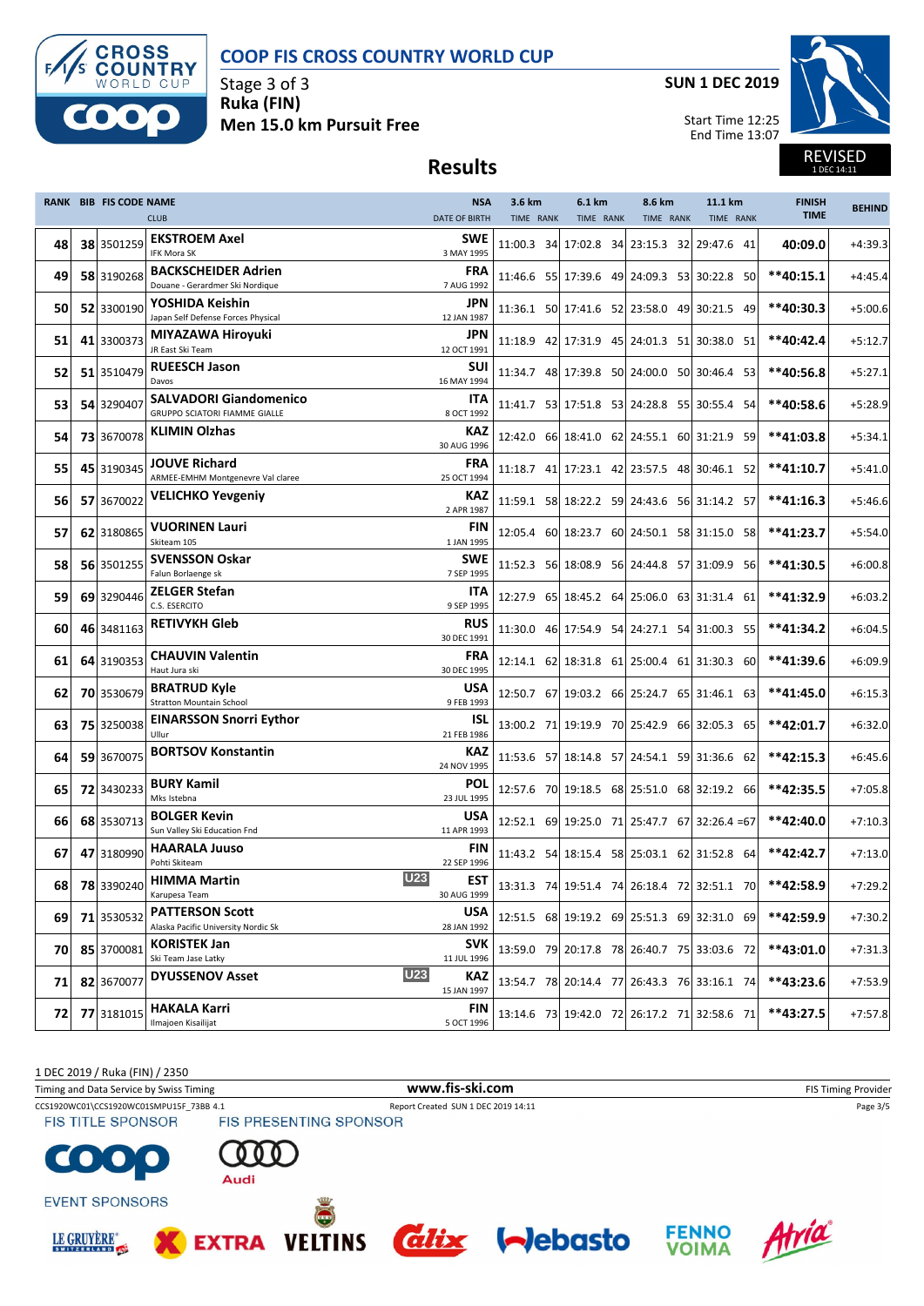

Stage 3 of 3 **Ruka (FIN) Men 15.0 km Pursuit Free** **SUN 1 DEC 2019**



REVISED 1 DEC 14:11

# **Results**

|     | <b>RANK BIB FIS CODE NAME</b> |                                                                       | <b>NSA</b>                | 3.6 km     | 6.1 km                | 8.6 km    | 11.1 km                                       | <b>FINISH</b><br><b>TIME</b> | <b>BEHIND</b> |
|-----|-------------------------------|-----------------------------------------------------------------------|---------------------------|------------|-----------------------|-----------|-----------------------------------------------|------------------------------|---------------|
|     |                               | <b>CLUB</b>                                                           | <b>DATE OF BIRTH</b>      | TIME RANK  | TIME RANK             | TIME RANK | TIME RANK                                     |                              |               |
| 48  | 38 3501259                    | <b>EKSTROEM Axel</b><br>IFK Mora SK                                   | <b>SWE</b><br>3 MAY 1995  | 11:00.3 34 | 17:02.8 34 23:15.3 32 |           | 29:47.6 41                                    | 40:09.0                      | $+4:39.3$     |
| 49  | 58 3190268                    | <b>BACKSCHEIDER Adrien</b><br>Douane - Gerardmer Ski Nordique         | <b>FRA</b><br>7 AUG 1992  |            |                       |           | 11:46.6 55 17:39.6 49 24:09.3 53 30:22.8 50   | $**40:15.1$                  | $+4:45.4$     |
| 50  | 52 3300190                    | YOSHIDA Keishin<br>Japan Self Defense Forces Physical                 | JPN<br>12 JAN 1987        |            |                       |           | 11:36.1 50 17:41.6 52 23:58.0 49 30:21.5 49   | **40:30.3                    | $+5:00.6$     |
| 51  | 41 3300373                    | MIYAZAWA Hiroyuki<br>JR East Ski Team                                 | JPN<br>12 OCT 1991        |            |                       |           | 11:18.9 42 17:31.9 45 24:01.3 51 30:38.0 51   | **40:42.4                    | $+5:12.7$     |
| 52  | 51 3510479                    | <b>RUEESCH Jason</b><br>Davos                                         | <b>SUI</b><br>16 MAY 1994 |            |                       |           | 11:34.7 48 17:39.8 50 24:00.0 50 30:46.4 53   | **40:56.8                    | $+5:27.1$     |
| 53  | 54 3290407                    | <b>SALVADORI Giandomenico</b><br><b>GRUPPO SCIATORI FIAMME GIALLE</b> | <b>ITA</b><br>8 OCT 1992  |            |                       |           | 11:41.7 53 17:51.8 53 24:28.8 55 30:55.4 54   | **40:58.6                    | $+5:28.9$     |
| 54  | 73 3670078                    | <b>KLIMIN Olzhas</b>                                                  | <b>KAZ</b><br>30 AUG 1996 |            |                       |           | 12:42.0 66 18:41.0 62 24:55.1 60 31:21.9 59   | **41:03.8                    | $+5:34.1$     |
| 55  | 45 3190345                    | <b>JOUVE Richard</b><br>ARMEE-EMHM Montgenevre Val claree             | <b>FRA</b><br>25 OCT 1994 |            |                       |           | 11:18.7 41 17:23.1 42 23:57.5 48 30:46.1 52   | **41:10.7                    | $+5:41.0$     |
| 561 | 57 3670022                    | <b>VELICHKO Yevgeniy</b>                                              | <b>KAZ</b><br>2 APR 1987  |            |                       |           | 11:59.1 58 18:22.2 59 24:43.6 56 31:14.2 57   | $**41:16.3$                  | $+5:46.6$     |
| 57  | 62 3180865                    | <b>VUORINEN Lauri</b><br>Skiteam 105                                  | <b>FIN</b><br>1 JAN 1995  |            |                       |           | 12:05.4 60 18:23.7 60 24:50.1 58 31:15.0 58   | **41:23.7                    | $+5:54.0$     |
| 58  | 56 3501255                    | <b>SVENSSON Oskar</b><br>Falun Borlaenge sk                           | <b>SWE</b><br>7 SEP 1995  |            |                       |           | 11:52.3 56 18:08.9 56 24:44.8 57 31:09.9 56   | **41:30.5                    | $+6:00.8$     |
| 59  | 69 3290446                    | <b>ZELGER Stefan</b><br>C.S. ESERCITO                                 | <b>ITA</b><br>9 SEP 1995  |            |                       |           | 12:27.9 65 18:45.2 64 25:06.0 63 31:31.4 61   | **41:32.9                    | $+6:03.2$     |
| 60  | 46 3481163                    | <b>RETIVYKH Gleb</b>                                                  | <b>RUS</b><br>30 DEC 1991 |            |                       |           | 11:30.0 46 17:54.9 54 24:27.1 54 31:00.3 55   | **41:34.2                    | $+6:04.5$     |
| 61  | 64 3190353                    | <b>CHAUVIN Valentin</b><br>Haut Jura ski                              | <b>FRA</b><br>30 DEC 1995 |            |                       |           | 12:14.1 62 18:31.8 61 25:00.4 61 31:30.3 60   | **41:39.6                    | $+6:09.9$     |
| 62  | 70 3530679                    | <b>BRATRUD Kyle</b><br><b>Stratton Mountain School</b>                | USA<br>9 FEB 1993         |            |                       |           | 12:50.7 67 19:03.2 66 25:24.7 65 31:46.1 63   | **41:45.0                    | $+6:15.3$     |
| 63  | 75 3250038                    | <b>EINARSSON Snorri Eythor</b><br>Ullur                               | ISL<br>21 FEB 1986        |            |                       |           | 13:00.2 71 19:19.9 70 25:42.9 66 32:05.3 65   | **42:01.7                    | $+6:32.0$     |
| 64  | 59 3670075                    | <b>BORTSOV Konstantin</b>                                             | KAZ<br>24 NOV 1995        |            |                       |           | 11:53.6 57 18:14.8 57 24:54.1 59 31:36.6 62   | **42:15.3                    | $+6:45.6$     |
| 65  | 72 3430233                    | <b>BURY Kamil</b><br>Mks Istebna                                      | <b>POL</b><br>23 JUL 1995 |            |                       |           | 12:57.6 70 19:18.5 68 25:51.0 68 32:19.2 66   | **42:35.5                    | $+7:05.8$     |
| 66  | 68 3530713                    | <b>BOLGER Kevin</b><br>Sun Valley Ski Education Fnd                   | <b>USA</b><br>11 APR 1993 |            |                       |           | 12:52.1 69 19:25.0 71 25:47.7 67 32:26.4 = 67 | **42:40.0                    | $+7:10.3$     |
| 67  | 47 3180990                    | <b>HAARALA Juuso</b><br>Pohti Skiteam                                 | <b>FIN</b><br>22 SEP 1996 |            |                       |           | 11:43.2 54 18:15.4 58 25:03.1 62 31:52.8 64   | **42:42.7                    | $+7:13.0$     |
| 681 |                               | <b>U23</b><br>78 3390240 HIMMA Martin<br>Karupesa Team                | EST<br>30 AUG 1999        |            |                       |           | 13:31.3 74 19:51.4 74 26:18.4 72 32:51.1 70   | **42:58.9                    | $+7:29.2$     |
| 69  | 71 3530532                    | <b>PATTERSON Scott</b><br>Alaska Pacific University Nordic Sk         | <b>USA</b><br>28 JAN 1992 |            |                       |           | 12:51.5 68 19:19.2 69 25:51.3 69 32:31.0 69   | **42:59.9                    | $+7:30.2$     |
| 70  | 85 3700081                    | <b>KORISTEK Jan</b><br>Ski Team Jase Latky                            | <b>SVK</b><br>11 JUL 1996 |            |                       |           | 13:59.0 79 20:17.8 78 26:40.7 75 33:03.6 72   | **43:01.0                    | $+7:31.3$     |
| 71  | 82 3670077                    | <b>U23</b><br><b>DYUSSENOV Asset</b>                                  | KAZ<br>15 JAN 1997        |            |                       |           | 13:54.7 78 20:14.4 77 26:43.3 76 33:16.1 74   | **43:23.6                    | $+7:53.9$     |
| 72  | 77 3181015                    | <b>HAKALA Karri</b><br>Ilmajoen Kisailijat                            | <b>FIN</b><br>5 OCT 1996  |            |                       |           | 13:14.6 73 19:42.0 72 26:17.2 71 32:58.6 71   | **43:27.5                    | $+7:57.8$     |

1 DEC 2019 / Ruka (FIN) / 2350

Timing and Data Service by Swiss Timing **WWW.fis-Ski.com WWW.fis-Ski.com** FIS Timing Provider

CCS1920WC01\CCS1920WC01SMPU15F\_73BB 4.1 Report Created SUN 1 DEC 2019 14:11 Page 3/5<br>
FIS TITLE SPONSOR FIS PRESENTING SPONSOR **FIS TITLE SPONSOR** 

**EVENT SPONSORS** 

 $\bullet$ 

LE GRUYÈRE®

 $\mathbf{0}$  C



**VELTINS** 







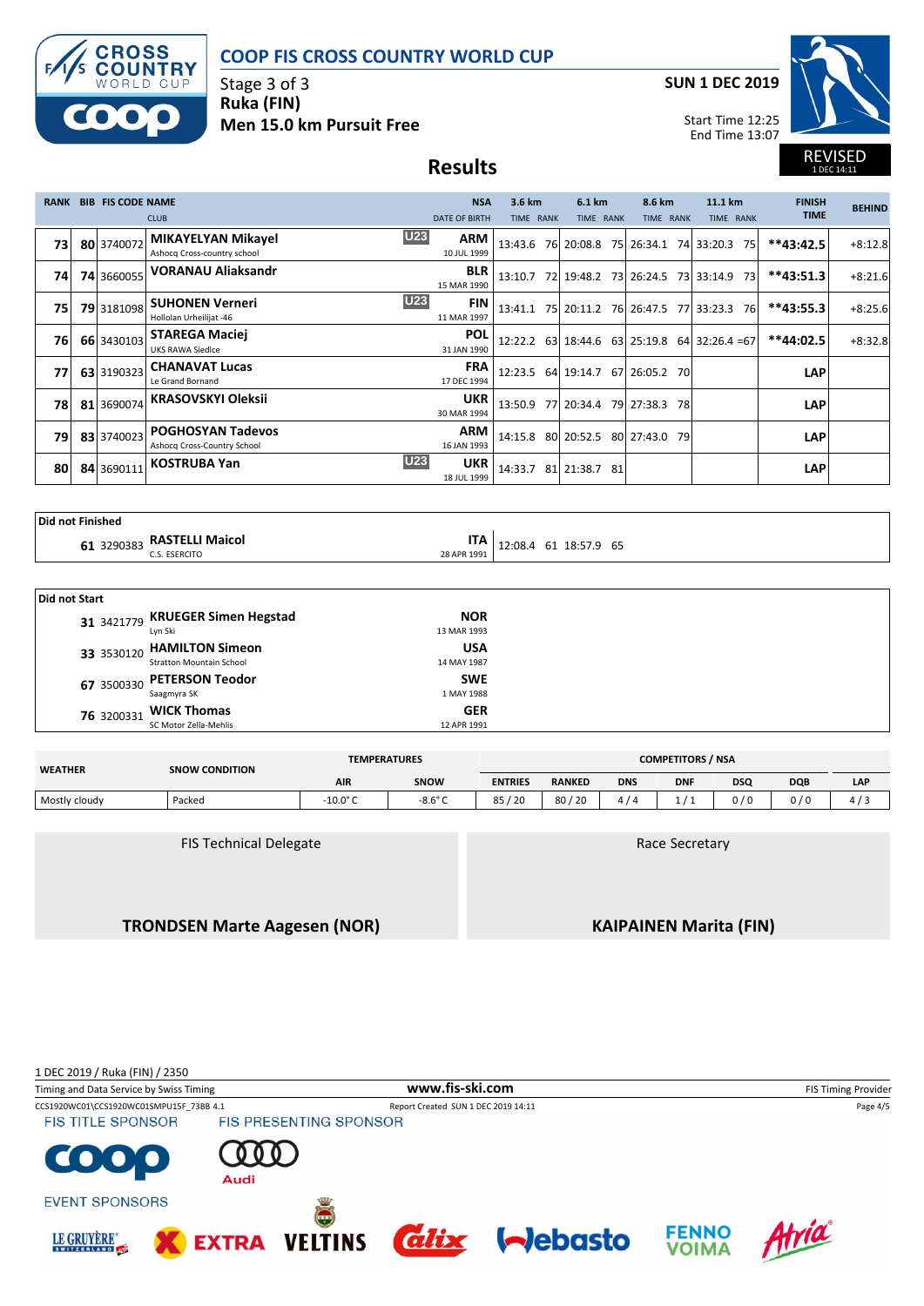

Stage 3 of 3 **Ruka (FIN) Men 15.0 km Pursuit Free** **SUN 1 DEC 2019**



REVISED 1 DEC 14:11

Start Time 12:25 End Time 13:07

# **Results**

| <b>RANK</b> | <b>BIB FIS CODE NAME</b> |                                                          | <b>NSA</b>                              | 3.6 km    | 6.1 km                                        | 8.6 km    |     | 11.1 km    |     | <b>FINISH</b> | <b>BEHIND</b> |
|-------------|--------------------------|----------------------------------------------------------|-----------------------------------------|-----------|-----------------------------------------------|-----------|-----|------------|-----|---------------|---------------|
|             |                          | <b>CLUB</b>                                              | <b>DATE OF BIRTH</b>                    | TIME RANK | TIME RANK                                     | TIME RANK |     | TIME RANK  |     | <b>TIME</b>   |               |
| 73          | 80 3740072               | <b>MIKAYELYAN Mikayel</b><br>Ashocq Cross-country school | U23<br><b>ARM</b><br>10 JUL 1999        |           | 13:43.6 76 20:08.8 75 26:34.1                 |           |     | 74 33:20.3 | 75  | $**43:42.5$   | $+8:12.8$     |
| 74          | <b>74 3660055</b>        | <b>VORANAU Aliaksandr</b>                                | <b>BLR</b><br>15 MAR 1990               |           | 13:10.7 72 19:48.2 73 26:24.5 73 33:14.9      |           |     |            | -73 | $**43:51.3$   | $+8:21.6$     |
| 75          | 79 3181098               | <b>SUHONEN Verneri</b><br>Hollolan Urheilijat -46        | <b>U23</b><br><b>FIN</b><br>11 MAR 1997 |           | 13:41.1 75 20:11.2 76 26:47.5 77 33:23.3      |           |     |            | 76  | $**43:55.3$   | $+8:25.6$     |
| 76          | 66 3430103               | <b>STAREGA Maciej</b><br>UKS RAWA Siedlce                | <b>POL</b><br>31 JAN 1990               |           | 12:22.2 63 18:44.6 63 25:19.8 64 32:26.4 = 67 |           |     |            |     | **44:02.5     | $+8:32.8$     |
| 77          | 63 3190323               | <b>CHANAVAT Lucas</b><br>Le Grand Bornand                | <b>FRA</b><br>17 DEC 1994               |           | 12:23.5 64 19:14.7 67 26:05.2                 |           | 70I |            |     | <b>LAP</b>    |               |
| 78          | 81 3690074               | <b>KRASOVSKYI Oleksii</b>                                | <b>UKR</b><br>30 MAR 1994               |           | 13:50.9 77 20:34.4 79 27:38.3                 |           | 78I |            |     | <b>LAP</b>    |               |
| 79          | 83 3740023               | <b>POGHOSYAN Tadevos</b><br>Ashocq Cross-Country School  | <b>ARM</b><br>16 JAN 1993               |           | 14:15.8 80 20:52.5 80 27:43.0 79              |           |     |            |     | <b>LAP</b>    |               |
| 80          | 84 3690111               | <b>KOSTRUBA Yan</b>                                      | U23<br><b>UKR</b><br>18 JUL 1999        | 14:33.7   | 81 21:38.7 81                                 |           |     |            |     | <b>LAP</b>    |               |

| <b>Did not Finished</b> |  |  |  |
|-------------------------|--|--|--|
|-------------------------|--|--|--|

|  | 1 3290383 RASTELLI Maicol |  |
|--|---------------------------|--|

**RASTELLI Maicol ITA**C.S. ESERCITO
C.S. ESERCITO
C.S. ESERCITO
COM COMPLETED **12**:08.4 61 18:57.9 65

| <b>Did not Start</b> |                                  |             |  |  |  |  |  |  |
|----------------------|----------------------------------|-------------|--|--|--|--|--|--|
|                      | 31 3421779 KRUEGER Simen Hegstad | <b>NOR</b>  |  |  |  |  |  |  |
|                      | Lyn Ski                          | 13 MAR 1993 |  |  |  |  |  |  |
|                      | 33 3530120 HAMILTON Simeon       | <b>USA</b>  |  |  |  |  |  |  |
|                      | <b>Stratton Mountain School</b>  | 14 MAY 1987 |  |  |  |  |  |  |
|                      | 67 3500330 PETERSON Teodor       | <b>SWE</b>  |  |  |  |  |  |  |
|                      | Saagmyra SK                      | 1 MAY 1988  |  |  |  |  |  |  |
| 76 3200331           | <b>WICK Thomas</b>               | <b>GER</b>  |  |  |  |  |  |  |
|                      | SC Motor Zella-Mehlis            | 12 APR 1991 |  |  |  |  |  |  |

| <b>WEATHER</b> | <b>SNOW CONDITION</b> | <b>TEMPERATURES</b> | <b>COMPETITORS / NSA</b> |                |               |            |            |            |            |     |
|----------------|-----------------------|---------------------|--------------------------|----------------|---------------|------------|------------|------------|------------|-----|
|                |                       | <b>AIR</b>          | <b>SNOW</b>              | <b>ENTRIES</b> | <b>RANKED</b> | <b>DNS</b> | <b>DNF</b> | <b>DSQ</b> | <b>DQB</b> | LAP |
| Mostly cloudy  | Packed                | $-10.0^{\circ}$ C   | $-8.6^{\circ}$ C         | ′ 20<br>85     | 80/20         |            |            | 0/0        | 0/0        |     |

FIS Technical Delegate

Race Secretary

**TRONDSEN Marte Aagesen (NOR)**

**KAIPAINEN Marita (FIN)**